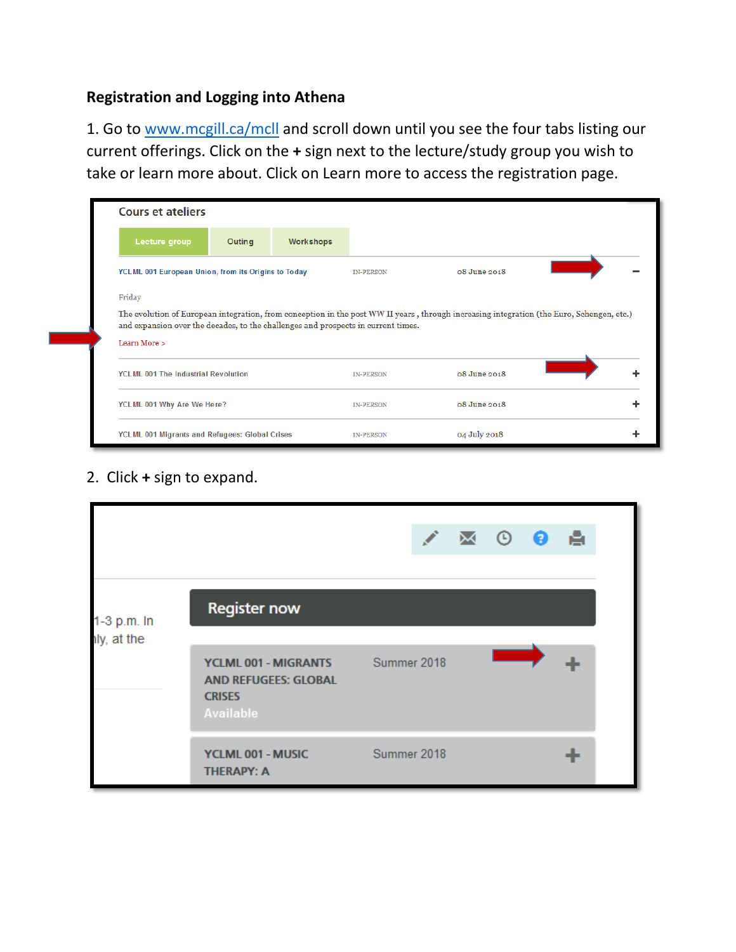## **Registration and Logging into Athena**

1. Go to [www.mcgill.ca/mcll](http://www.mcgill.ca/mcll) and scroll down until you see the four tabs listing our current offerings. Click on the **+** sign next to the lecture/study group you wish to take or learn more about. Click on Learn more to access the registration page.

| <b>Cours et ateliers</b>                                                          |        |                  |                  |                                                                                                                                           |  |
|-----------------------------------------------------------------------------------|--------|------------------|------------------|-------------------------------------------------------------------------------------------------------------------------------------------|--|
| Lecture group                                                                     | Outing | <b>Workshops</b> |                  |                                                                                                                                           |  |
| YCLML 001 European Union, from its Origins to Today                               |        |                  | <b>IN-PERSON</b> | 08 June 2018                                                                                                                              |  |
| Friday                                                                            |        |                  |                  |                                                                                                                                           |  |
| and expansion over the decades, to the challenges and prospects in current times. |        |                  |                  | The evolution of European integration, from conception in the post WW II years, through increasing integration (the Euro, Schengen, etc.) |  |
| Learn More >                                                                      |        |                  |                  |                                                                                                                                           |  |
| <b>YCLML 001 The Industrial Revolution</b>                                        |        |                  | <b>IN-PERSON</b> | $08$ June 2018                                                                                                                            |  |
| YCLML 001 Why Are We Here?                                                        |        |                  | <b>IN-PERSON</b> | 08 June 2018                                                                                                                              |  |
| YCLML 001 Migrants and Refugees: Global Crises                                    |        |                  | <b>IN-PERSON</b> | 04 July 2018                                                                                                                              |  |

2. Click **+** sign to expand.

|                            |                                                                                          |             |  | $\sqrt{M}$ 0 0 | - 61 |  |
|----------------------------|------------------------------------------------------------------------------------------|-------------|--|----------------|------|--|
| 1-3 p.m. In<br>lly, at the | <b>Register now</b>                                                                      |             |  |                |      |  |
|                            | YCLML 001 - MIGRANTS<br><b>AND REFUGEES: GLOBAL</b><br><b>CRISES</b><br><b>Available</b> | Summer 2018 |  |                |      |  |
|                            | YCLML 001 - MUSIC<br><b>THERAPY: A</b>                                                   | Summer 2018 |  |                |      |  |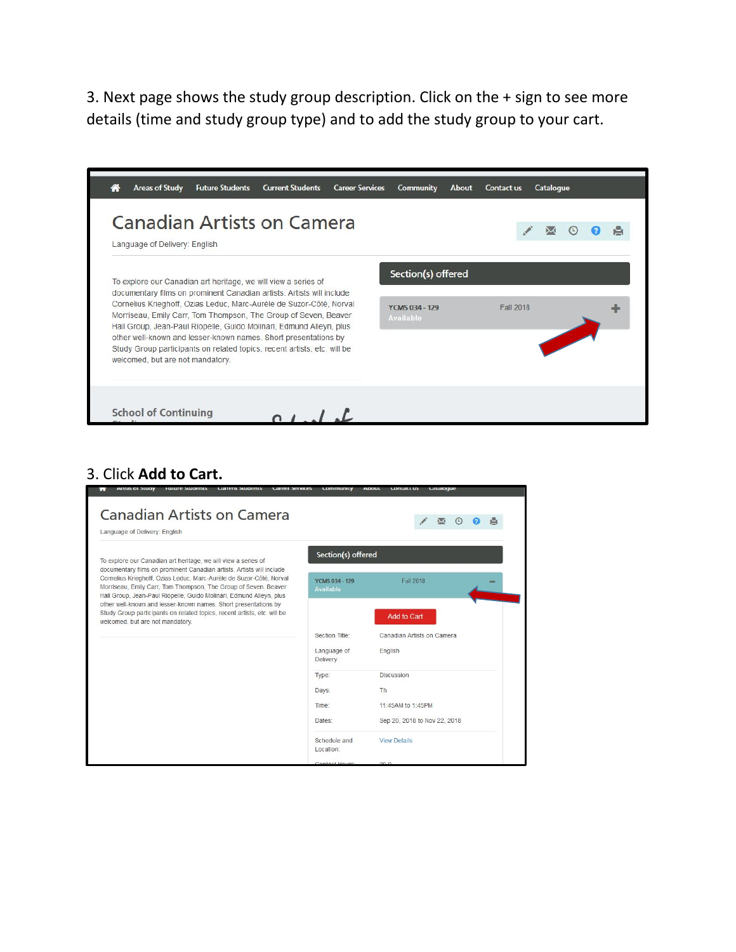3. Next page shows the study group description. Click on the + sign to see more details (time and study group type) and to add the study group to your cart.

| <b>Canadian Artists on Camera</b><br>Language of Delivery: English                                                                                                                                                                                                                     |                                    |           |  |
|----------------------------------------------------------------------------------------------------------------------------------------------------------------------------------------------------------------------------------------------------------------------------------------|------------------------------------|-----------|--|
| To explore our Canadian art heritage, we will view a series of                                                                                                                                                                                                                         | Section(s) offered                 |           |  |
| documentary films on prominent Canadian artists. Artists will include<br>Cornelius Krieghoff, Ozias Leduc, Marc-Aurèle de Suzor-Côté, Norval<br>Morriseau, Emily Carr, Tom Thompson, The Group of Seven, Beaver<br>Hall Group, Jean-Paul Riopelle, Guido Molinari, Edmund Alleyn, plus | YCMS 034 - 129<br><b>Available</b> | Fall 2018 |  |
| other well-known and lesser-known names. Short presentations by<br>Study Group participants on related topics, recent artists, etc. will be<br>welcomed, but are not mandatory.                                                                                                        |                                    |           |  |
|                                                                                                                                                                                                                                                                                        |                                    |           |  |

## 3. Click **Add to Cart.**

| Language of Delivery: English                                                                                                                                                                                 |                                           |                              |  |  |
|---------------------------------------------------------------------------------------------------------------------------------------------------------------------------------------------------------------|-------------------------------------------|------------------------------|--|--|
| To explore our Canadian art heritage, we will view a series of<br>documentary films on prominent Canadian artists. Artists will include                                                                       | Section(s) offered                        |                              |  |  |
| Cornelius Krieghoff, Ozias Leduc, Marc-Aurèle de Suzor-Côté, Norval<br>Morriseau, Emily Carr, Tom Thompson, The Group of Seven, Beaver<br>Hall Group, Jean-Paul Riopelle, Guido Molinari, Edmund Alleyn, plus | <b>YCMS 034 - 129</b><br><b>Available</b> | Fall 2018                    |  |  |
| other well-known and lesser-known names. Short presentations by<br>Study Group participants on related topics, recent artists, etc. will be<br>welcomed, but are not mandatory.                               |                                           | <b>Add to Cart</b>           |  |  |
|                                                                                                                                                                                                               | Section Title:                            | Canadian Artists on Camera   |  |  |
|                                                                                                                                                                                                               | Language of<br>Delivery:                  | English                      |  |  |
|                                                                                                                                                                                                               | Type:                                     | <b>Discussion</b>            |  |  |
|                                                                                                                                                                                                               | Days:                                     | Th                           |  |  |
|                                                                                                                                                                                                               | Time:                                     | 11:45AM to 1:45PM            |  |  |
|                                                                                                                                                                                                               | Dates:                                    | Sep 20, 2018 to Nov 22, 2018 |  |  |
|                                                                                                                                                                                                               | Schedule and<br>Location:                 | <b>View Details</b>          |  |  |
|                                                                                                                                                                                                               | Contact Hours                             | 200                          |  |  |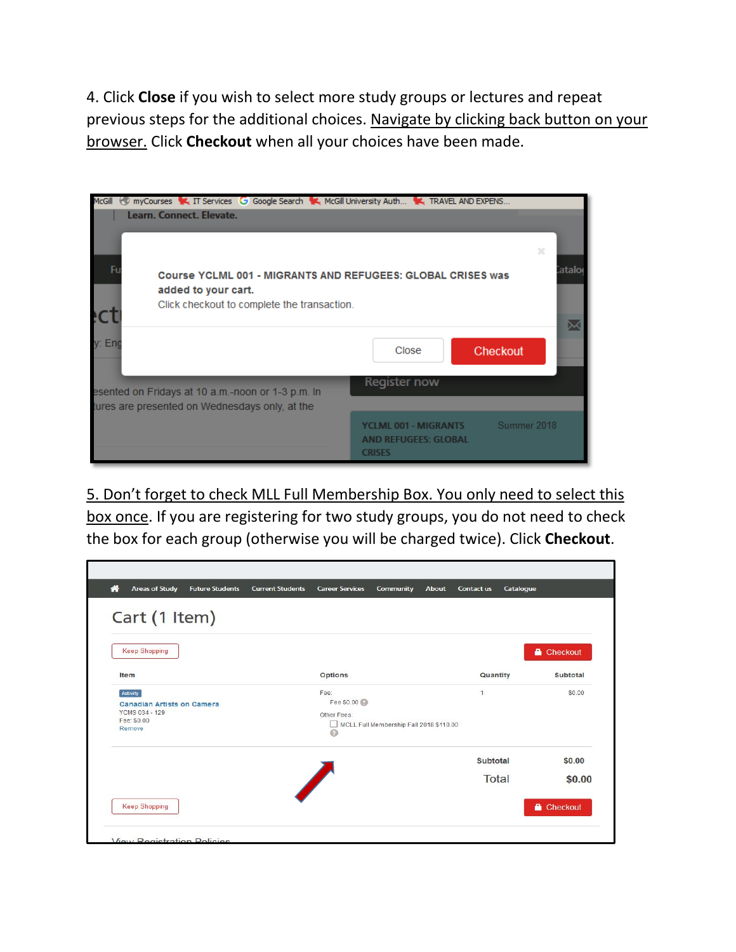4. Click **Close** if you wish to select more study groups or lectures and repeat previous steps for the additional choices. Navigate by clicking back button on your browser. Click **Checkout** when all your choices have been made.

| myCourses T. IT Services G Google Search T. McGill University Auth T. TRAVEL AND EXPENS<br>McGill<br>Learn, Connect, Elevate. |                                                                                                       |
|-------------------------------------------------------------------------------------------------------------------------------|-------------------------------------------------------------------------------------------------------|
| Fı<br>added to your cart.<br>Click checkout to complete the transaction.                                                      | $\mathbb{R}^2$<br><b>ataloo</b><br><b>Course YCLML 001 - MIGRANTS AND REFUGEES: GLOBAL CRISES was</b> |
| v: Eno                                                                                                                        | Checkout<br>Close                                                                                     |
| esented on Fridays at 10 a.m.-noon or 1-3 p.m. In<br>tures are presented on Wednesdays only, at the                           | Register now                                                                                          |
|                                                                                                                               | Summer 2018<br><b>YCLML 001 - MIGRANTS</b><br><b>AND REFUGEES: GLOBAL</b><br><b>CRISES</b>            |

5. Don't forget to check MLL Full Membership Box. You only need to select this box once. If you are registering for two study groups, you do not need to check the box for each group (otherwise you will be charged twice). Click **Checkout**.

| <b>Keep Shopping</b>                                                                            |                                                                                         |                | Checkout |
|-------------------------------------------------------------------------------------------------|-----------------------------------------------------------------------------------------|----------------|----------|
| Item                                                                                            | <b>Options</b>                                                                          | Quantity       | Subtotal |
| Activity<br><b>Canadian Artists on Camera</b><br><b>YCMS 034 - 129</b><br>Fee: \$0.00<br>Remove | Fee:<br>Fee \$0.00<br>Other Fees:<br>MCLL Full Membership Fall 2018 \$110.00<br>$\odot$ | $\overline{1}$ | \$0.00   |
|                                                                                                 |                                                                                         | Subtotal       | \$0.00   |
|                                                                                                 | <b>Service</b> Service Service                                                          | Total          | \$0.00   |